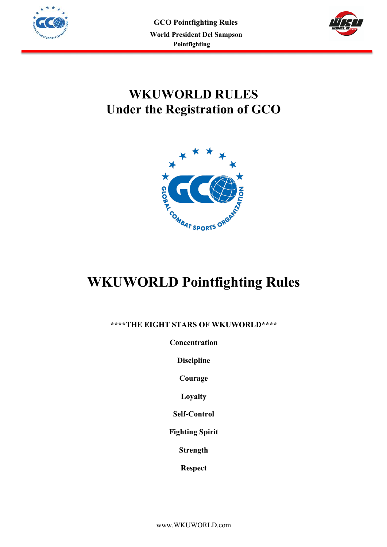



# **WKUWORLD RULES Under the Registration of GCO**



# **WKUWORLD Pointfighting Rules**

**\*\*\*\*THE EIGHT STARS OF WKUWORLD\*\*\*\***

**Concentration**

**Discipline**

**Courage**

**Loyalty**

**Self-Control**

**Fighting Spirit**

**Strength**

**Respect**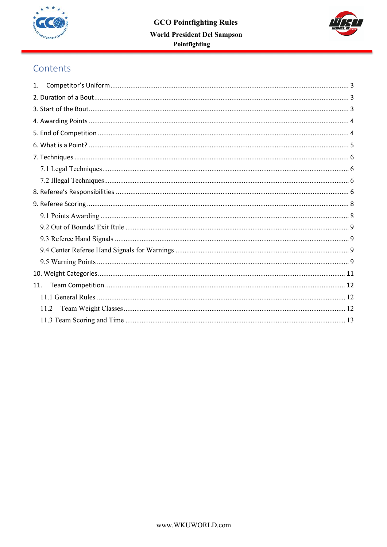



# Contents

| 1.  |      |  |
|-----|------|--|
|     |      |  |
|     |      |  |
|     |      |  |
|     |      |  |
|     |      |  |
|     |      |  |
|     |      |  |
|     |      |  |
|     |      |  |
|     |      |  |
|     |      |  |
|     |      |  |
|     |      |  |
|     |      |  |
|     |      |  |
|     |      |  |
| 11. |      |  |
|     |      |  |
|     | 11.2 |  |
|     |      |  |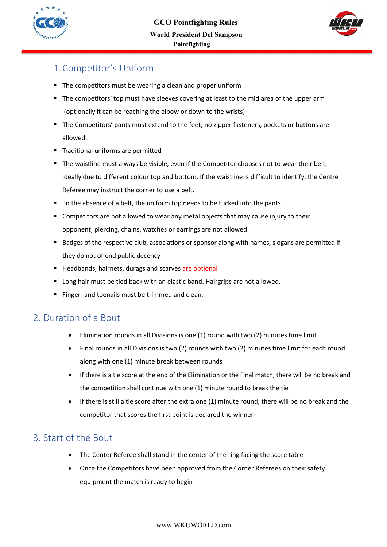



# 1.Competitor's Uniform

- ! The competitors must be wearing a clean and proper uniform
- The competitors' top must have sleeves covering at least to the mid area of the upper arm (optionally it can be reaching the elbow or down to the wrists)
- ! The Competitors' pants must extend to the feet; no zipper fasteners, pockets or buttons are allowed.
- ! Traditional uniforms are permitted
- " The waistline must always be visible, even if the Competitor chooses not to wear their belt; ideally due to different colour top and bottom. If the waistline is difficult to identify, the Centre Referee may instruct the corner to use a belt.
- In the absence of a belt, the uniform top needs to be tucked into the pants.
- **E** Competitors are not allowed to wear any metal objects that may cause injury to their opponent; piercing, chains, watches or earrings are not allowed.
- ! Badges of the respective club, associations or sponsor along with names, slogans are permitted if they do not offend public decency
- ! Headbands, hairnets, durags and scarves are optional
- **.** Long hair must be tied back with an elastic band. Hairgrips are not allowed.
- Finger- and toenails must be trimmed and clean.

# 2. Duration of a Bout

- Elimination rounds in all Divisions is one (1) round with two (2) minutes time limit
- Final rounds in all Divisions is two (2) rounds with two (2) minutes time limit for each round along with one (1) minute break between rounds
- If there is a tie score at the end of the Elimination or the Final match, there will be no break and the competition shall continue with one (1) minute round to break the tie
- If there is still a tie score after the extra one (1) minute round, there will be no break and the competitor that scores the first point is declared the winner

# 3. Start of the Bout

- The Center Referee shall stand in the center of the ring facing the score table
- Once the Competitors have been approved from the Corner Referees on their safety equipment the match is ready to begin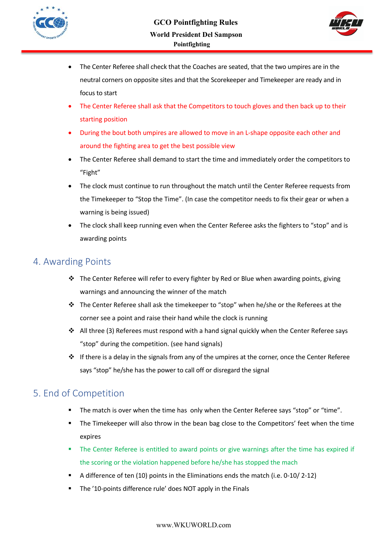



- The Center Referee shall check that the Coaches are seated, that the two umpires are in the neutral corners on opposite sites and that the Scorekeeper and Timekeeper are ready and in focus to start
- The Center Referee shall ask that the Competitors to touch gloves and then back up to their starting position
- During the bout both umpires are allowed to move in an L-shape opposite each other and around the fighting area to get the best possible view
- The Center Referee shall demand to start the time and immediately order the competitors to "Fight"
- The clock must continue to run throughout the match until the Center Referee requests from the Timekeeper to "Stop the Time". (In case the competitor needs to fix their gear or when a warning is being issued)
- The clock shall keep running even when the Center Referee asks the fighters to "stop" and is awarding points

## 4. Awarding Points

- $\cdot \cdot$  The Center Referee will refer to every fighter by Red or Blue when awarding points, giving warnings and announcing the winner of the match
- $\cdot \cdot$  The Center Referee shall ask the timekeeper to "stop" when he/she or the Referees at the corner see a point and raise their hand while the clock is running
- $\cdot$  All three (3) Referees must respond with a hand signal quickly when the Center Referee says "stop" during the competition. (see hand signals)
- $\cdot \cdot$  If there is a delay in the signals from any of the umpires at the corner, once the Center Referee says "stop" he/she has the power to call off or disregard the signal

# 5. End of Competition

- The match is over when the time has only when the Center Referee says "stop" or "time".
- ! The Timekeeper will also throw in the bean bag close to the Competitors' feet when the time expires
- " The Center Referee is entitled to award points or give warnings after the time has expired if the scoring or the violation happened before he/she has stopped the mach
- ! A difference of ten (10) points in the Eliminations ends the match (i.e. 0-10/ 2-12)
- ! The '10-points difference rule' does NOT apply in the Finals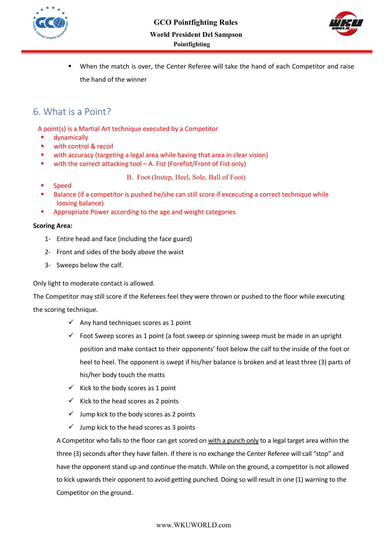



! When the match is over, the Center Referee will take the hand of each Competitor and raise the hand of the winner

### 6. What is a Point?

A point(s) is a Martial Art technique executed by a Competitor

- **"** dynamically
- with control & recoil
- with accuracy (targeting a legal area while having that area in clear vision)
- ! with the correct attacking tool A. Fist (Forefist/Front of Fist only)

B. Foot (Instep, Heel, Sole, Ball of Foot)

- ! Speed
- Balance (if a competitor is pushed he/she can still score if excecuting a correct technique while loosing balance)
- ! Appropriate Power according to the age and weight categories

#### **Scoring Area:**

- 1- Entire head and face (including the face guard)
- 2- Front and sides of the body above the waist
- 3- Sweeps below the calf.

Only light to moderate contact is allowed.

The Competitor may still score if the Referees feel they were thrown or pushed to the floor while executing the scoring technique.

- $\checkmark$  Any hand techniques scores as 1 point
- $\checkmark$  Foot Sweep scores as 1 point (a foot sweep or spinning sweep must be made in an upright position and make contact to their opponents' foot below the calf to the inside of the foot or heel to heel. The opponent is swept if his/her balance is broken and at least three (3) parts of his/her body touch the matts
- $\checkmark$  Kick to the body scores as 1 point
- $\checkmark$  Kick to the head scores as 2 points
- $\checkmark$  Jump kick to the body scores as 2 points
- $\checkmark$  Jump kick to the head scores as 3 points

A Competitor who falls to the floor can get scored on with a punch only to a legal target area within the three (3) seconds after they have fallen. If there is no exchange the Center Referee will call "stop" and have the opponent stand up and continue the match. While on the ground, a competitor is not allowed to kick upwards their opponent to avoid getting punched. Doing so will result in one (1) warning to the Competitor on the ground.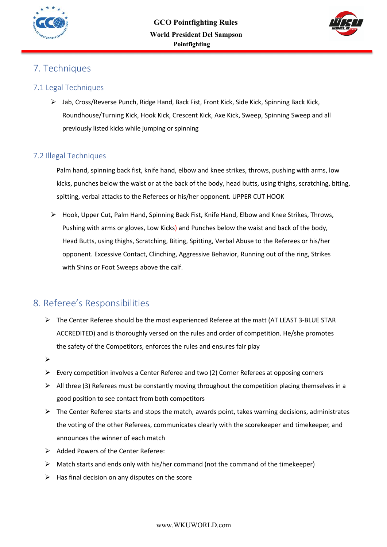



# 7. Techniques

### 7.1 Legal Techniques

 $\triangleright$  Jab, Cross/Reverse Punch, Ridge Hand, Back Fist, Front Kick, Side Kick, Spinning Back Kick, Roundhouse/Turning Kick, Hook Kick, Crescent Kick, Axe Kick, Sweep, Spinning Sweep and all previously listed kicks while jumping or spinning

#### 7.2 Illegal Techniques

Palm hand, spinning back fist, knife hand, elbow and knee strikes, throws, pushing with arms, low kicks, punches below the waist or at the back of the body, head butts, using thighs, scratching, biting, spitting, verbal attacks to the Referees or his/her opponent. UPPER CUT HOOK

 $\triangleright$  Hook, Upper Cut, Palm Hand, Spinning Back Fist, Knife Hand, Elbow and Knee Strikes, Throws, Pushing with arms or gloves, Low Kicks) and Punches below the waist and back of the body, Head Butts, using thighs, Scratching, Biting, Spitting, Verbal Abuse to the Referees or his/her opponent. Excessive Contact, Clinching, Aggressive Behavior, Running out of the ring, Strikes with Shins or Foot Sweeps above the calf.

# 8. Referee's Responsibilities

- $\triangleright$  The Center Referee should be the most experienced Referee at the matt (AT LEAST 3-BLUE STAR ACCREDITED) and is thoroughly versed on the rules and order of competition. He/she promotes the safety of the Competitors, enforces the rules and ensures fair play
- $\blacktriangleright$
- $\triangleright$  Every competition involves a Center Referee and two (2) Corner Referees at opposing corners
- $\triangleright$  All three (3) Referees must be constantly moving throughout the competition placing themselves in a good position to see contact from both competitors
- $\triangleright$  The Center Referee starts and stops the match, awards point, takes warning decisions, administrates the voting of the other Referees, communicates clearly with the scorekeeper and timekeeper, and announces the winner of each match
- $\triangleright$  Added Powers of the Center Referee:
- $\triangleright$  Match starts and ends only with his/her command (not the command of the timekeeper)
- $\triangleright$  Has final decision on any disputes on the score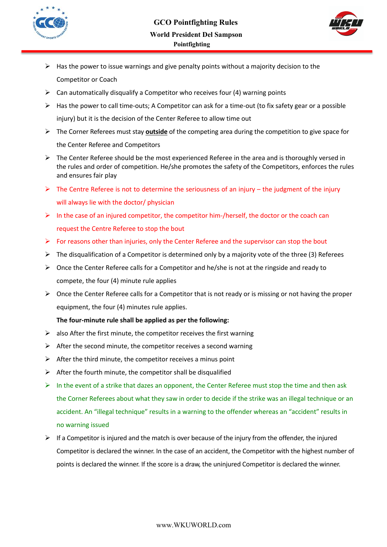



- $\triangleright$  Has the power to issue warnings and give penalty points without a majority decision to the Competitor or Coach
- $\triangleright$  Can automatically disqualify a Competitor who receives four (4) warning points
- $\triangleright$  Has the power to call time-outs; A Competitor can ask for a time-out (to fix safety gear or a possible injury) but it is the decision of the Center Referee to allow time out
- \$ The Corner Referees must stay **outside** of the competing area during the competition to give space for the Center Referee and Competitors
- $\triangleright$  The Center Referee should be the most experienced Referee in the area and is thoroughly versed in the rules and order of competition. He/she promotes the safety of the Competitors, enforces the rules and ensures fair play
- $\triangleright$  The Centre Referee is not to determine the seriousness of an injury the judgment of the injury will always lie with the doctor/ physician
- $\triangleright$  In the case of an injured competitor, the competitor him-/herself, the doctor or the coach can request the Centre Referee to stop the bout
- $\triangleright$  For reasons other than injuries, only the Center Referee and the supervisor can stop the bout
- $\triangleright$  The disqualification of a Competitor is determined only by a majority vote of the three (3) Referees
- $\triangleright$  Once the Center Referee calls for a Competitor and he/she is not at the ringside and ready to compete, the four (4) minute rule applies
- $\triangleright$  Once the Center Referee calls for a Competitor that is not ready or is missing or not having the proper equipment, the four (4) minutes rule applies.

#### **The four-minute rule shall be applied as per the following:**

- $\triangleright$  also After the first minute, the competitor receives the first warning
- $\triangleright$  After the second minute, the competitor receives a second warning
- $\triangleright$  After the third minute, the competitor receives a minus point
- $\triangleright$  After the fourth minute, the competitor shall be disqualified
- $\triangleright$  In the event of a strike that dazes an opponent, the Center Referee must stop the time and then ask the Corner Referees about what they saw in order to decide if the strike was an illegal technique or an accident. An "illegal technique" results in a warning to the offender whereas an "accident" results in no warning issued
- $\triangleright$  If a Competitor is injured and the match is over because of the injury from the offender, the injured Competitor is declared the winner. In the case of an accident, the Competitor with the highest number of points is declared the winner. If the score is a draw, the uninjured Competitor is declared the winner.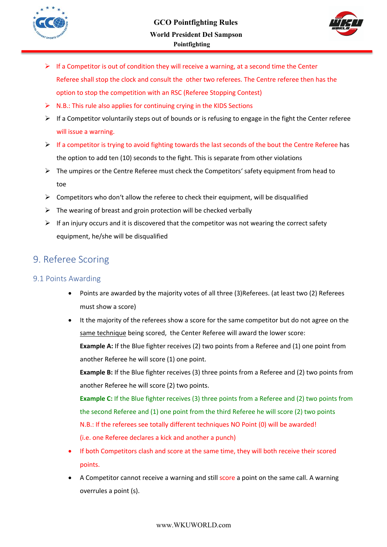



- $\triangleright$  If a Competitor is out of condition they will receive a warning, at a second time the Center Referee shall stop the clock and consult the other two referees. The Centre referee then has the option to stop the competition with an RSC (Referee Stopping Contest)
- $\triangleright$  N.B.: This rule also applies for continuing crying in the KIDS Sections
- $\triangleright$  If a Competitor voluntarily steps out of bounds or is refusing to engage in the fight the Center referee will issue a warning.
- $\triangleright$  If a competitor is trying to avoid fighting towards the last seconds of the bout the Centre Referee has the option to add ten (10) seconds to the fight. This is separate from other violations
- $\triangleright$  The umpires or the Centre Referee must check the Competitors' safety equipment from head to toe
- $\triangleright$  Competitors who don't allow the referee to check their equipment, will be disqualified
- $\triangleright$  The wearing of breast and groin protection will be checked verbally
- $\triangleright$  If an injury occurs and it is discovered that the competitor was not wearing the correct safety equipment, he/she will be disqualified

## 9. Referee Scoring

#### 9.1 Points Awarding

- Points are awarded by the majority votes of all three (3)Referees. (at least two (2) Referees must show a score)
- It the majority of the referees show a score for the same competitor but do not agree on the same technique being scored, the Center Referee will award the lower score:

**Example A:** If the Blue fighter receives (2) two points from a Referee and (1) one point from another Referee he will score (1) one point.

**Example B:** If the Blue fighter receives (3) three points from a Referee and (2) two points from another Referee he will score (2) two points.

**Example C:** If the Blue fighter receives (3) three points from a Referee and (2) two points from the second Referee and (1) one point from the third Referee he will score (2) two points N.B.: If the referees see totally different techniques NO Point (0) will be awarded! (i.e. one Referee declares a kick and another a punch)

- If both Competitors clash and score at the same time, they will both receive their scored points.
- A Competitor cannot receive a warning and still score a point on the same call. A warning overrules a point (s).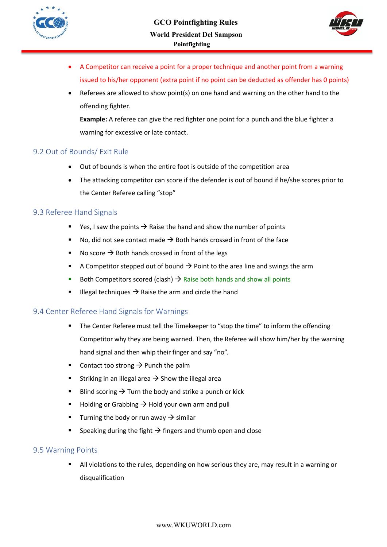



- A Competitor can receive a point for a proper technique and another point from a warning issued to his/her opponent (extra point if no point can be deducted as offender has 0 points)
- Referees are allowed to show point(s) on one hand and warning on the other hand to the offending fighter.

**Example:** A referee can give the red fighter one point for a punch and the blue fighter a warning for excessive or late contact.

#### 9.2 Out of Bounds/ Exit Rule

- Out of bounds is when the entire foot is outside of the competition area
- The attacking competitor can score if the defender is out of bound if he/she scores prior to the Center Referee calling "stop"

#### 9.3 Referee Hand Signals

- Yes, I saw the points  $\rightarrow$  Raise the hand and show the number of points
- $\blacksquare$  No, did not see contact made  $\rightarrow$  Both hands crossed in front of the face
- **No score**  $\rightarrow$  **Both hands crossed in front of the legs**
- **A** Competitor stepped out of bound  $\rightarrow$  Point to the area line and swings the arm
- Both Competitors scored (clash)  $\rightarrow$  Raise both hands and show all points
- **III** IIIegal techniques  $\rightarrow$  Raise the arm and circle the hand

#### 9.4 Center Referee Hand Signals for Warnings

- " The Center Referee must tell the Timekeeper to "stop the time" to inform the offending Competitor why they are being warned. Then, the Referee will show him/her by the warning hand signal and then whip their finger and say "no".
- **•** Contact too strong  $\rightarrow$  Punch the palm
- **EXECUTE:** Striking in an illegal area  $\rightarrow$  Show the illegal area
- **E** Blind scoring  $\rightarrow$  Turn the body and strike a punch or kick
- **E** Holding or Grabbing  $\rightarrow$  Hold your own arm and pull
- **Turning the body or run away**  $\rightarrow$  **similar**
- Speaking during the fight  $\rightarrow$  fingers and thumb open and close

#### 9.5 Warning Points

! All violations to the rules, depending on how serious they are, may result in a warning or disqualification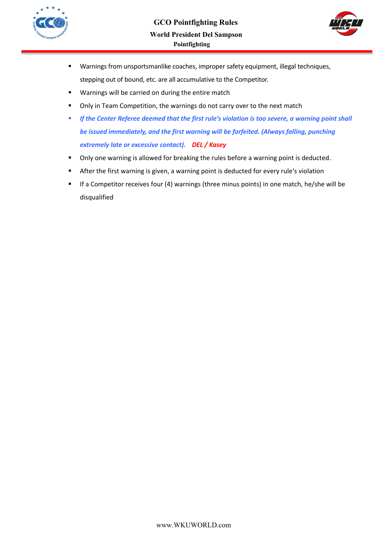



- ! Warnings from unsportsmanlike coaches, improper safety equipment, illegal techniques, stepping out of bound, etc. are all accumulative to the Competitor.
- ! Warnings will be carried on during the entire match
- **.** Only in Team Competition, the warnings do not carry over to the next match
- ! *If the Center Referee deemed that the first rule's violation is too severe, a warning point shall be issued immediately, and the first warning will be forfeited. (Always falling, punching extremely late or excessive contact). DEL / Kasey*
- ! Only one warning is allowed for breaking the rules before a warning point is deducted.
- ! After the first warning is given, a warning point is deducted for every rule's violation
- ! If a Competitor receives four (4) warnings (three minus points) in one match, he/she will be disqualified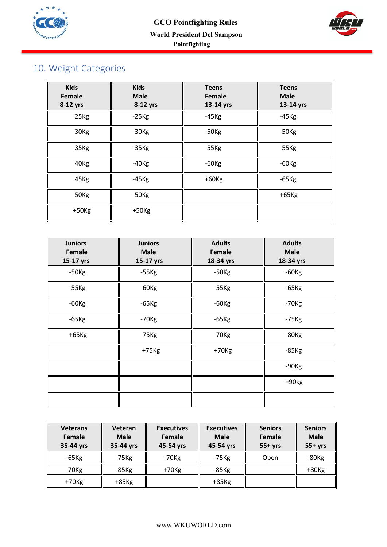



# 10. Weight Categories

| <b>Kids</b><br>Female<br>8-12 yrs | <b>Kids</b><br><b>Male</b><br>8-12 yrs | <b>Teens</b><br>Female<br>13-14 yrs | <b>Teens</b><br><b>Male</b><br>13-14 yrs |
|-----------------------------------|----------------------------------------|-------------------------------------|------------------------------------------|
| 25Kg                              | $-25$ Kg                               | $-45$ Kg                            | $-45$ Kg                                 |
| 30 <sub>Kg</sub>                  | $-30$ Kg                               | $-50$ Kg                            | $-50$ Kg                                 |
| 35Kg                              | $-35Kg$                                | $-55$ Kg                            | $-55$ Kg                                 |
| 40 <sub>Kg</sub>                  | $-40$ Kg                               | $-60$ Kg                            | $-60$ Kg                                 |
| 45Kg                              | $-45$ Kg                               | $+60$ Kg                            | $-65$ Kg                                 |
| 50Kg                              | $-50$ Kg                               |                                     | $+65$ Kg                                 |
| $+50$ Kg                          | $+50$ Kg                               |                                     |                                          |

| <b>Juniors</b><br>Female<br>15-17 yrs | <b>Juniors</b><br><b>Male</b><br>15-17 yrs | <b>Adults</b><br>Female<br>18-34 yrs | <b>Adults</b><br><b>Male</b><br>18-34 yrs |
|---------------------------------------|--------------------------------------------|--------------------------------------|-------------------------------------------|
| $-50$ Kg                              | $-55$ Kg                                   | $-50$ Kg                             | $-60$ Kg                                  |
| $-55$ Kg                              | $-60$ Kg                                   | $-55$ Kg                             | $-65$ Kg                                  |
| $-60$ Kg                              | $-65$ Kg                                   | $-60$ Kg                             | $-70$ Kg                                  |
| $-65$ Kg                              | $-70$ Kg                                   | $-65$ Kg                             | $-75$ Kg                                  |
| $+65$ Kg                              | $-75$ Kg                                   | $-70$ Kg                             | $-80$ Kg                                  |
|                                       | $+75$ Kg                                   | $+70$ Kg                             | $-85$ Kg                                  |
|                                       |                                            |                                      | $-90$ Kg                                  |
|                                       |                                            |                                      | $+90kg$                                   |
|                                       |                                            |                                      |                                           |

| <b>Veterans</b><br>Female<br>35-44 yrs | Veteran<br><b>Male</b><br>35-44 yrs | <b>Executives</b><br>Female<br>45-54 yrs | <b>Executives</b><br><b>Male</b><br>45-54 yrs | <b>Seniors</b><br>Female<br>$55+yrs$ | <b>Seniors</b><br><b>Male</b><br>$55+yrs$ |
|----------------------------------------|-------------------------------------|------------------------------------------|-----------------------------------------------|--------------------------------------|-------------------------------------------|
| $-65$ Kg                               | $-75$ Kg                            | $-70$ Kg                                 | $-75$ Kg                                      | Open                                 | $-80$ Kg                                  |
| $-70$ Kg                               | $-85$ Kg                            | $+70$ Kg                                 | $-85$ Kg                                      |                                      | $+80$ Kg                                  |
| $+70$ Kg                               | $+85$ Kg                            |                                          | $+85$ Kg                                      |                                      |                                           |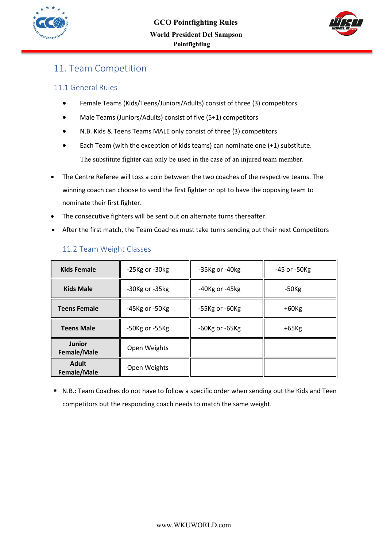



# 11. Team Competition

### 11.1 General Rules

- Female Teams (Kids/Teens/Juniors/Adults) consist of three (3) competitors
- Male Teams (Juniors/Adults) consist of five (5+1) competitors
- N.B. Kids & Teens Teams MALE only consist of three (3) competitors
- Each Team (with the exception of kids teams) can nominate one (+1) substitute. The substitute fighter can only be used in the case of an injured team member.
- The Centre Referee will toss a coin between the two coaches of the respective teams. The winning coach can choose to send the first fighter or opt to have the opposing team to nominate their first fighter.
- The consecutive fighters will be sent out on alternate turns thereafter.
- After the first match, the Team Coaches must take turns sending out their next Competitors

| <b>Kids Female</b>           | -25Kg or -30kg       | $-35$ Kg or $-40$ kg | -45 or -50Kg |  |
|------------------------------|----------------------|----------------------|--------------|--|
| <b>Kids Male</b>             | $-30$ Kg or $-35$ kg | $-40$ Kg or $-45$ kg | $-50$ Kg     |  |
| <b>Teens Female</b>          | -45Kg or -50Kg       | $-55$ Kg or $-60$ Kg | $+60$ Kg     |  |
| <b>Teens Male</b>            | -50Kg or -55Kg       | $-60$ Kg or $-65$ Kg | $+65$ Kg     |  |
| <b>Junior</b><br>Female/Male | Open Weights         |                      |              |  |
| <b>Adult</b><br>Female/Male  | Open Weights         |                      |              |  |

### 11.2 Team Weight Classes

! N.B.: Team Coaches do not have to follow a specific order when sending out the Kids and Teen competitors but the responding coach needs to match the same weight.